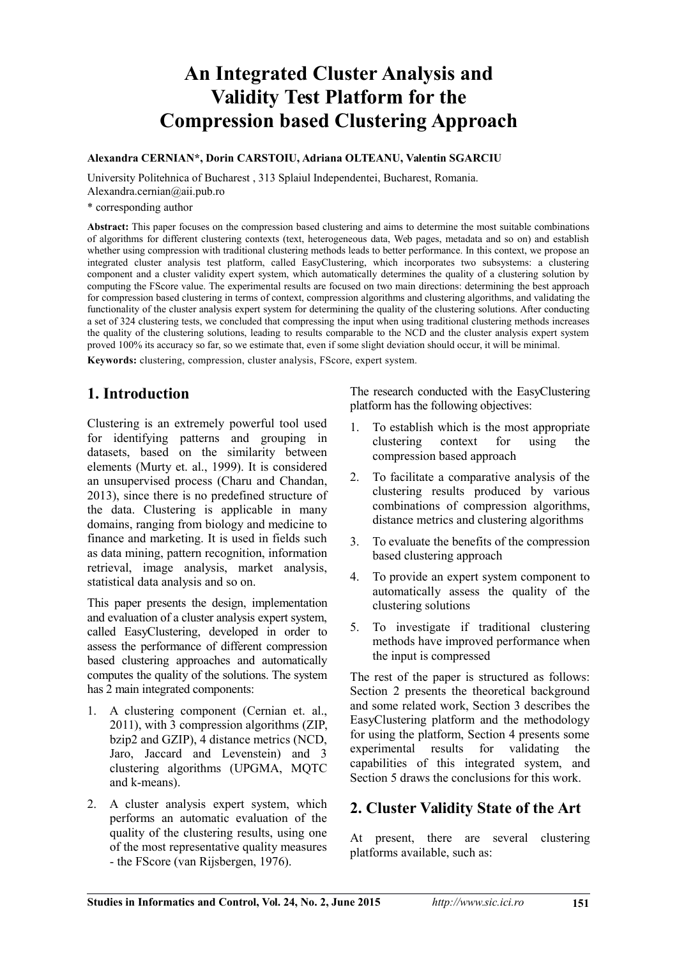# **An Integrated Cluster Analysis and Validity Test Platform for the Compression based Clustering Approach**

#### **Alexandra CERNIAN\*, Dorin CARSTOIU, Adriana OLTEANU, Valentin SGARCIU**

University Politehnica of Bucharest , 313 Splaiul Independentei, Bucharest, Romania. Alexandra.cernian@aii.pub.ro

\* corresponding author

**Abstract:** This paper focuses on the compression based clustering and aims to determine the most suitable combinations of algorithms for different clustering contexts (text, heterogeneous data, Web pages, metadata and so on) and establish whether using compression with traditional clustering methods leads to better performance. In this context, we propose an integrated cluster analysis test platform, called EasyClustering, which incorporates two subsystems: a clustering component and a cluster validity expert system, which automatically determines the quality of a clustering solution by computing the FScore value. The experimental results are focused on two main directions: determining the best approach for compression based clustering in terms of context, compression algorithms and clustering algorithms, and validating the functionality of the cluster analysis expert system for determining the quality of the clustering solutions. After conducting a set of 324 clustering tests, we concluded that compressing the input when using traditional clustering methods increases the quality of the clustering solutions, leading to results comparable to the NCD and the cluster analysis expert system proved 100% its accuracy so far, so we estimate that, even if some slight deviation should occur, it will be minimal.

**Keywords:** clustering, compression, cluster analysis, FScore, expert system.

## **1. Introduction**

Clustering is an extremely powerful tool used for identifying patterns and grouping in datasets, based on the similarity between elements (Murty et. al., 1999). It is considered an unsupervised process (Charu and Chandan, 2013), since there is no predefined structure of the data. Clustering is applicable in many domains, ranging from biology and medicine to finance and marketing. It is used in fields such as data mining, pattern recognition, information retrieval, image analysis, market analysis, statistical data analysis and so on.

This paper presents the design, implementation and evaluation of a cluster analysis expert system, called EasyClustering, developed in order to assess the performance of different compression based clustering approaches and automatically computes the quality of the solutions. The system has 2 main integrated components:

- 1. A clustering component (Cernian et. al., 2011), with 3 compression algorithms (ZIP, bzip2 and GZIP), 4 distance metrics (NCD, Jaro, Jaccard and Levenstein) and 3 clustering algorithms (UPGMA, MQTC and k-means).
- 2. A cluster analysis expert system, which performs an automatic evaluation of the quality of the clustering results, using one of the most representative quality measures - the FScore (van Rijsbergen, 1976).

The research conducted with the EasyClustering platform has the following objectives:

- 1. To establish which is the most appropriate clustering context for using the compression based approach
- 2. To facilitate a comparative analysis of the clustering results produced by various combinations of compression algorithms, distance metrics and clustering algorithms
- 3. To evaluate the benefits of the compression based clustering approach
- 4. To provide an expert system component to automatically assess the quality of the clustering solutions
- 5. To investigate if traditional clustering methods have improved performance when the input is compressed

The rest of the paper is structured as follows: Section 2 presents the theoretical background and some related work, Section 3 describes the EasyClustering platform and the methodology for using the platform, Section 4 presents some experimental results for validating the capabilities of this integrated system, and Section 5 draws the conclusions for this work.

## **2. Cluster Validity State of the Art**

At present, there are several clustering platforms available, such as: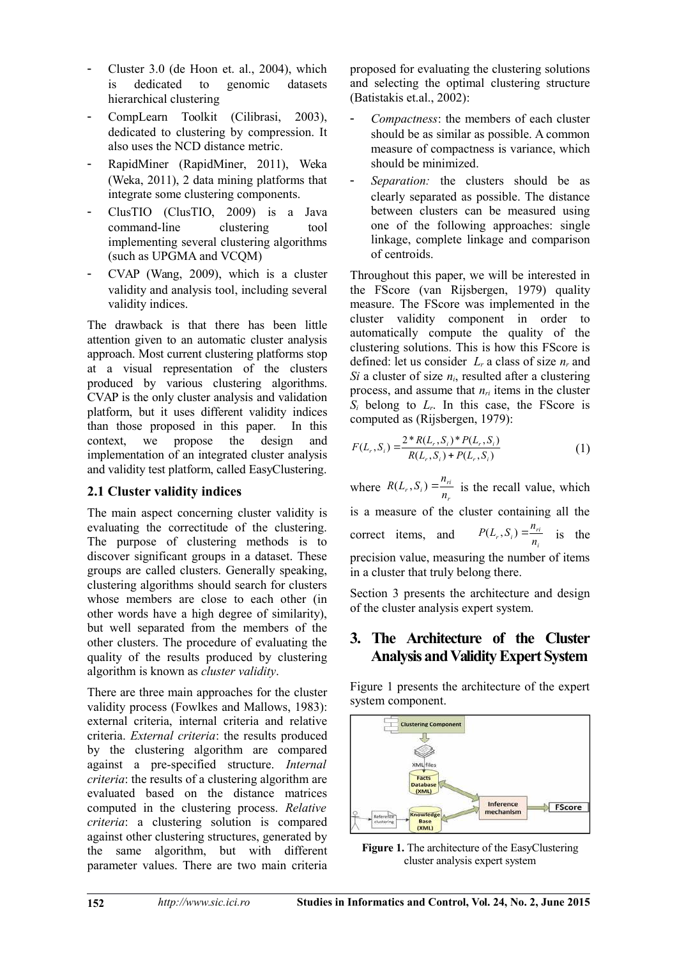- Cluster 3.0 (de Hoon et. al., 2004), which is dedicated to genomic datasets hierarchical clustering
- CompLearn Toolkit (Cilibrasi, 2003), dedicated to clustering by compression. It also uses the NCD distance metric.
- RapidMiner (RapidMiner, 2011), Weka (Weka, 2011), 2 data mining platforms that integrate some clustering components.
- ClusTIO (ClusTIO, 2009) is a Java command-line clustering tool implementing several clustering algorithms (such as UPGMA and VCQM)
- CVAP (Wang, 2009), which is a cluster validity and analysis tool, including several validity indices.

The drawback is that there has been little attention given to an automatic cluster analysis approach. Most current clustering platforms stop at a visual representation of the clusters produced by various clustering algorithms. CVAP is the only cluster analysis and validation platform, but it uses different validity indices than those proposed in this paper. In this context, we propose the design and implementation of an integrated cluster analysis and validity test platform, called EasyClustering.

### **2.1 Cluster validity indices**

The main aspect concerning cluster validity is evaluating the correctitude of the clustering. The purpose of clustering methods is to discover significant groups in a dataset. These groups are called clusters. Generally speaking, clustering algorithms should search for clusters whose members are close to each other (in other words have a high degree of similarity), but well separated from the members of the other clusters. The procedure of evaluating the quality of the results produced by clustering algorithm is known as *cluster validity*.

There are three main approaches for the cluster validity process (Fowlkes and Mallows, 1983): external criteria, internal criteria and relative criteria. *External criteria*: the results produced by the clustering algorithm are compared against a pre-specified structure. *Internal criteria*: the results of a clustering algorithm are evaluated based on the distance matrices computed in the clustering process. *Relative criteria*: a clustering solution is compared against other clustering structures, generated by the same algorithm, but with different parameter values. There are two main criteria

proposed for evaluating the clustering solutions and selecting the optimal clustering structure (Batistakis et.al., 2002):

- *Compactness*: the members of each cluster should be as similar as possible. A common measure of compactness is variance, which should be minimized.
- Separation: the clusters should be as clearly separated as possible. The distance between clusters can be measured using one of the following approaches: single linkage, complete linkage and comparison of centroids.

Throughout this paper, we will be interested in the FScore (van Rijsbergen, 1979) quality measure. The FScore was implemented in the cluster validity component in order to automatically compute the quality of the clustering solutions. This is how this FScore is defined: let us consider *L<sup>r</sup>* a class of size *n<sup>r</sup>* and *Si* a cluster of size *ni*, resulted after a clustering process, and assume that *nri* items in the cluster  $S_i$  belong to  $L_r$ . In this case, the FScore is computed as (Rijsbergen, 1979):

$$
F(L_r, S_i) = \frac{2 * R(L_r, S_i) * P(L_r, S_i)}{R(L_r, S_i) + P(L_r, S_i)}
$$
(1)

where  $R(L_r, S_i) = \frac{R_r}{n_r}$  $r(S_i) = \frac{n_{ri}}{n_r}$  $R(L_r, S_i) = \frac{n_{ri}}{n_i}$  is the recall value, which is a measure of the cluster containing all the correct items, and  $P(L_r, S_i) = \frac{N_r}{n_i}$  $r(S_i) = \frac{n_{ri}}{n_i}$  $P(L_r, S_i) = \frac{n_{ri}}{n}$  is the precision value, measuring the number of items in a cluster that truly belong there.

Section 3 presents the architecture and design of the cluster analysis expert system.

## **3. The Architecture of the Cluster Analysis and Validity Expert System**

Figure 1 presents the architecture of the expert system component.



**Figure 1.** The architecture of the EasyClustering cluster analysis expert system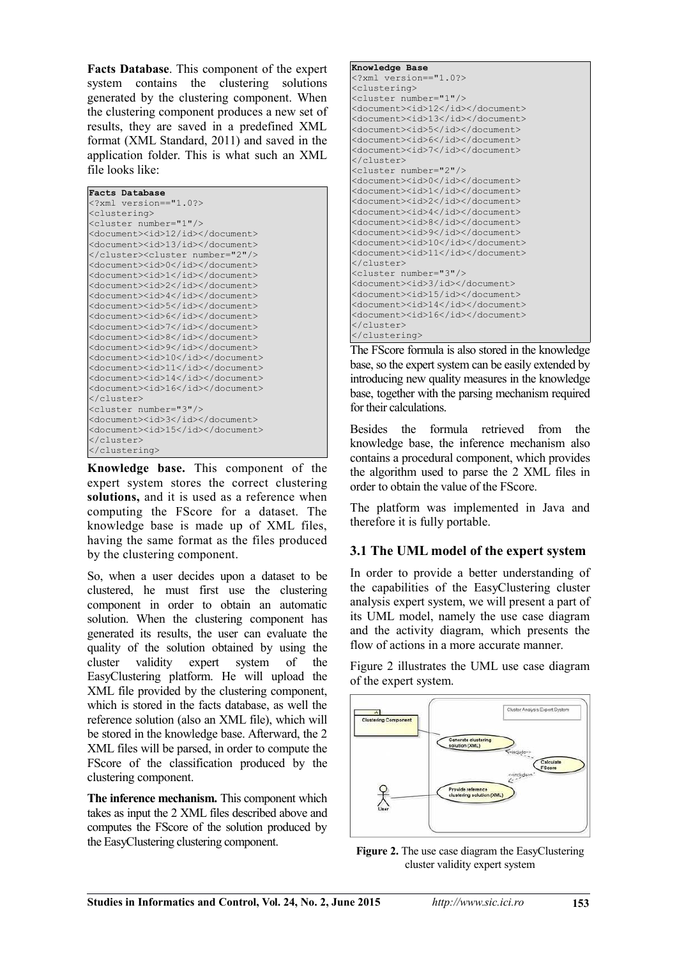**Facts Database**. This component of the expert system contains the clustering solutions generated by the clustering component. When the clustering component produces a new set of results, they are saved in a predefined XML format (XML Standard, 2011) and saved in the application folder. This is what such an XML file looks like:

| Facts Database                          |
|-----------------------------------------|
| xml version == "1.0?                    |
| <clustering></clustering>               |
| <cluster number="1"></cluster>          |
| <document><id>12/id&gt;</id></document> |
| <document><id>13/id&gt;</id></document> |
| <cluster number="2"></cluster>          |
| <document><id>0</id></document>         |
| <document><id>1</id></document>         |
| <document><id>2</id></document>         |
| <document><id>4</id></document>         |
| <document><id>5</id></document>         |
| <document><id>6</id></document>         |
| <document><id>7</id></document>         |
| <document><id>8</id></document>         |
| <document><id>9</id></document>         |
| <document><id>10</id></document>        |
| <document><id>11</id></document>        |
| <document><id>14</id></document>        |
| <document><id>16</id></document>        |
|                                         |
| <cluster number="3"></cluster>          |
| <document><id>3</id></document>         |
| <document><id>15</id></document>        |
|                                         |
|                                         |

**Knowledge base.** This component of the expert system stores the correct clustering **solutions,** and it is used as a reference when computing the FScore for a dataset. The knowledge base is made up of XML files, having the same format as the files produced by the clustering component.

So, when a user decides upon a dataset to be clustered, he must first use the clustering component in order to obtain an automatic solution. When the clustering component has generated its results, the user can evaluate the quality of the solution obtained by using the cluster validity expert system of the EasyClustering platform. He will upload the XML file provided by the clustering component, which is stored in the facts database, as well the reference solution (also an XML file), which will be stored in the knowledge base. Afterward, the 2 XML files will be parsed, in order to compute the FScore of the classification produced by the clustering component.

**The inference mechanism.** This component which takes as input the 2 XML files described above and computes the FScore of the solution produced by the EasyClustering clustering component.

```
Knowledge Base
<?xml version=="1.0?>
<clustering>
<cluster number="1"/>
<document><id>12</id></document>
<document><id>13</id></document>
<document><id>5</id></document>
<document><id>6</id></document>
<document><id>7</id></document>
</cluster>
<cluster number="2"/>
<document><id>0</id></document>
<document><id>1</id></document>
<document><id>2</id></document>
<document><id>4</id></document>
<document><id>8</id></document>
<document><id>9</id></document>
<document><id>10</id></document>
<document><id>11</id></document>
</cluster>
<cluster number="3"/>
<document><id>3/id></document>
<document><id>15/id></document>
<document><id>14</id></document>
<document><id>16</id></document>
</cluster>
</clustering>
```
The FScore formula is also stored in the knowledge base, so the expert system can be easily extended by introducing new quality measures in the knowledge base, together with the parsing mechanism required for their calculations.

Besides the formula retrieved from the knowledge base, the inference mechanism also contains a procedural component, which provides the algorithm used to parse the 2 XML files in order to obtain the value of the FScore.

The platform was implemented in Java and therefore it is fully portable.

### **3.1 The UML model of the expert system**

In order to provide a better understanding of the capabilities of the EasyClustering cluster analysis expert system, we will present a part of its UML model, namely the use case diagram and the activity diagram, which presents the flow of actions in a more accurate manner.

Figure 2 illustrates the UML use case diagram of the expert system.



**Figure 2.** The use case diagram the EasyClustering cluster validity expert system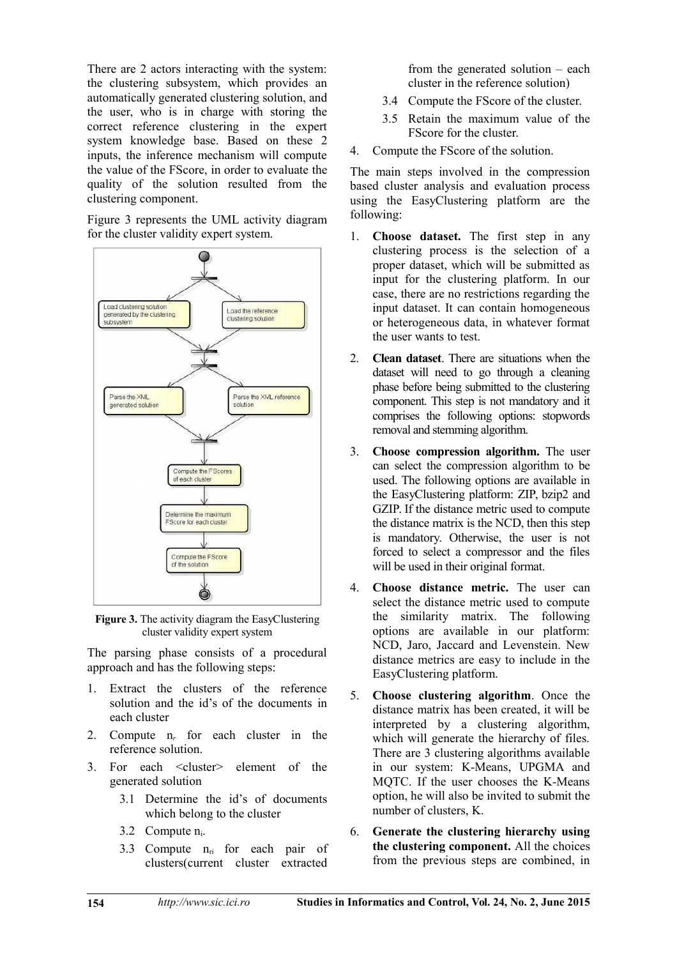There are 2 actors interacting with the system: the clustering subsystem, which provides an automatically generated clustering solution, and the user, who is in charge with storing the correct reference clustering in the expert system knowledge base. Based on these 2 inputs, the inference mechanism will compute the value of the FScore, in order to evaluate the quality of the solution resulted from the clustering component.

Figure 3 represents the UML activity diagram for the cluster validity expert system.



**Figure 3.** The activity diagram the EasyClustering cluster validity expert system

The parsing phase consists of a procedural approach and has the following steps:

- 1. Extract the clusters of the reference solution and the id's of the documents in each cluster
- 2. Compute n*r* for each cluster in the reference solution.
- 3. For each <cluster> element of the generated solution
	- 3.1 Determine the id's of documents which belong to the cluster
	- 3.2 Compute ni.
	- 3.3 Compute  $n_{ri}$  for each pair of clusters(current cluster extracted

from the generated solution – each cluster in the reference solution)

- 3.4 Compute the FScore of the cluster.
- 3.5 Retain the maximum value of the FScore for the cluster.
- 4. Compute the FScore of the solution.

The main steps involved in the compression based cluster analysis and evaluation process using the EasyClustering platform are the following:

- 1. **Choose dataset.** The first step in any clustering process is the selection of a proper dataset, which will be submitted as input for the clustering platform. In our case, there are no restrictions regarding the input dataset. It can contain homogeneous or heterogeneous data, in whatever format the user wants to test.
- 2. **Clean dataset**. There are situations when the dataset will need to go through a cleaning phase before being submitted to the clustering component. This step is not mandatory and it comprises the following options: stopwords removal and stemming algorithm.
- 3. **Choose compression algorithm.** The user can select the compression algorithm to be used. The following options are available in the EasyClustering platform: ZIP, bzip2 and GZIP. If the distance metric used to compute the distance matrix is the NCD, then this step is mandatory. Otherwise, the user is not forced to select a compressor and the files will be used in their original format.
- 4. **Choose distance metric.** The user can select the distance metric used to compute the similarity matrix. The following options are available in our platform: NCD, Jaro, Jaccard and Levenstein. New distance metrics are easy to include in the EasyClustering platform.
- 5. **Choose clustering algorithm**. Once the distance matrix has been created, it will be interpreted by a clustering algorithm, which will generate the hierarchy of files. There are 3 clustering algorithms available in our system: K-Means, UPGMA and MQTC. If the user chooses the K-Means option, he will also be invited to submit the number of clusters, K.
- 6. **Generate the clustering hierarchy using the clustering component.** All the choices from the previous steps are combined, in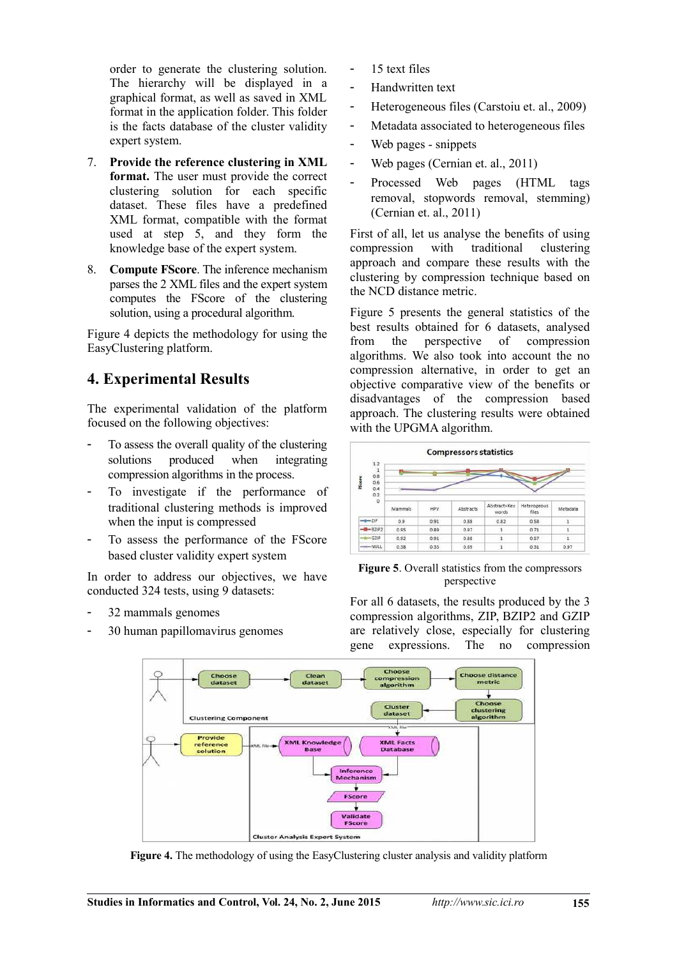order to generate the clustering solution. The hierarchy will be displayed in a graphical format, as well as saved in XML format in the application folder. This folder is the facts database of the cluster validity expert system.

- 7. **Provide the reference clustering in XML format.** The user must provide the correct clustering solution for each specific dataset. These files have a predefined XML format, compatible with the format used at step 5, and they form the knowledge base of the expert system.
- 8. **Compute FScore**. The inference mechanism parses the 2 XML files and the expert system computes the FScore of the clustering solution, using a procedural algorithm.

Figure 4 depicts the methodology for using the EasyClustering platform.

## **4. Experimental Results**

The experimental validation of the platform focused on the following objectives:

- To assess the overall quality of the clustering solutions produced when integrating compression algorithms in the process.
- To investigate if the performance of traditional clustering methods is improved when the input is compressed
- To assess the performance of the FScore based cluster validity expert system

In order to address our objectives, we have conducted 324 tests, using 9 datasets:

- 32 mammals genomes
- 30 human papillomavirus genomes
- 15 text files
- Handwritten text
- Heterogeneous files (Carstoiu et. al., 2009)
- Metadata associated to heterogeneous files
- Web pages snippets
- Web pages (Cernian et. al., 2011)
- Processed Web pages (HTML tags removal, stopwords removal, stemming) (Cernian et. al., 2011)

First of all, let us analyse the benefits of using compression with traditional clustering approach and compare these results with the clustering by compression technique based on the NCD distance metric.

Figure 5 presents the general statistics of the best results obtained for 6 datasets, analysed from the perspective of compression algorithms. We also took into account the no compression alternative, in order to get an objective comparative view of the benefits or disadvantages of the compression based approach. The clustering results were obtained with the UPGMA algorithm.



**Figure 5**. Overall statistics from the compressors perspective

For all 6 datasets, the results produced by the 3 compression algorithms, ZIP, BZIP2 and GZIP are relatively close, especially for clustering gene expressions. The no compression



**Figure 4.** The methodology of using the EasyClustering cluster analysis and validity platform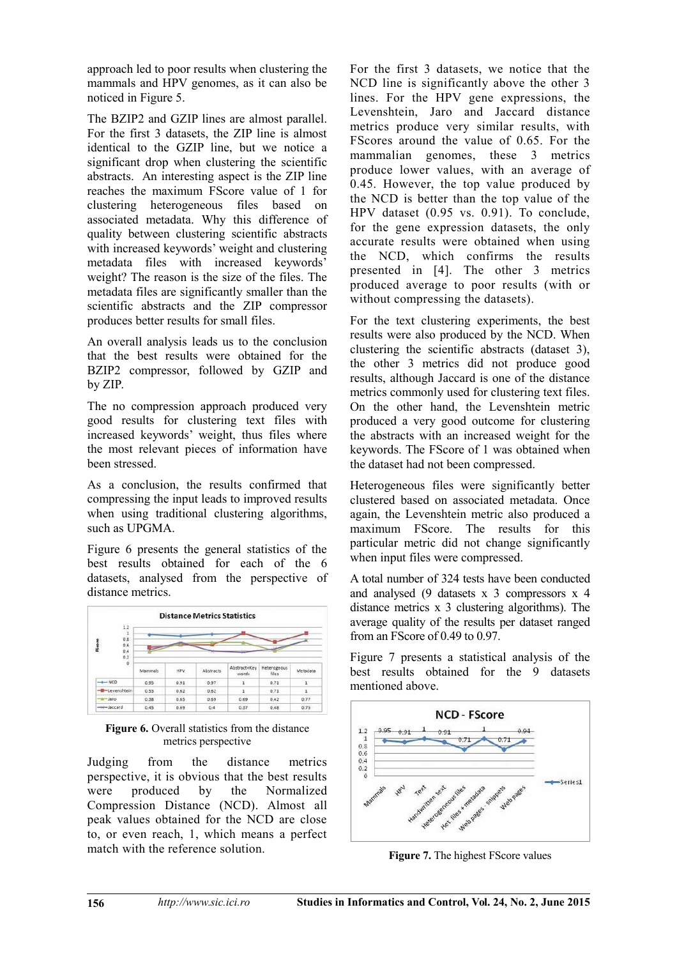approach led to poor results when clustering the mammals and HPV genomes, as it can also be noticed in Figure 5.

The BZIP2 and GZIP lines are almost parallel. For the first 3 datasets, the ZIP line is almost identical to the GZIP line, but we notice a significant drop when clustering the scientific abstracts. An interesting aspect is the ZIP line reaches the maximum FScore value of 1 for clustering heterogeneous files based on associated metadata. Why this difference of quality between clustering scientific abstracts with increased keywords' weight and clustering metadata files with increased keywords' weight? The reason is the size of the files. The metadata files are significantly smaller than the scientific abstracts and the ZIP compressor produces better results for small files.

An overall analysis leads us to the conclusion that the best results were obtained for the BZIP2 compressor, followed by GZIP and by ZIP.

The no compression approach produced very good results for clustering text files with increased keywords' weight, thus files where the most relevant pieces of information have been stressed.

As a conclusion, the results confirmed that compressing the input leads to improved results when using traditional clustering algorithms, such as UPGMA.

Figure 6 presents the general statistics of the best results obtained for each of the 6 datasets, analysed from the perspective of distance metrics.



Figure 6. Overall statistics from the distance metrics perspective

Judging from the distance metrics perspective, it is obvious that the best results were produced by the Normalized Compression Distance (NCD). Almost all peak values obtained for the NCD are close to, or even reach, 1, which means a perfect match with the reference solution.

For the first 3 datasets, we notice that the NCD line is significantly above the other 3 lines. For the HPV gene expressions, the Levenshtein, Jaro and Jaccard distance metrics produce very similar results, with FScores around the value of 0.65. For the mammalian genomes, these 3 metrics produce lower values, with an average of 0.45. However, the top value produced by the NCD is better than the top value of the HPV dataset (0.95 vs. 0.91). To conclude, for the gene expression datasets, the only accurate results were obtained when using the NCD, which confirms the results presented in [4]. The other 3 metrics produced average to poor results (with or without compressing the datasets).

For the text clustering experiments, the best results were also produced by the NCD. When clustering the scientific abstracts (dataset 3), the other 3 metrics did not produce good results, although Jaccard is one of the distance metrics commonly used for clustering text files. On the other hand, the Levenshtein metric produced a very good outcome for clustering the abstracts with an increased weight for the keywords. The FScore of 1 was obtained when the dataset had not been compressed.

Heterogeneous files were significantly better clustered based on associated metadata. Once again, the Levenshtein metric also produced a maximum FScore. The results for this particular metric did not change significantly when input files were compressed.

A total number of 324 tests have been conducted and analysed (9 datasets x 3 compressors x 4 distance metrics x 3 clustering algorithms). The average quality of the results per dataset ranged from an FScore of 0.49 to 0.97.

Figure 7 presents a statistical analysis of the best results obtained for the 9 datasets mentioned above.



**Figure 7.** The highest FScore values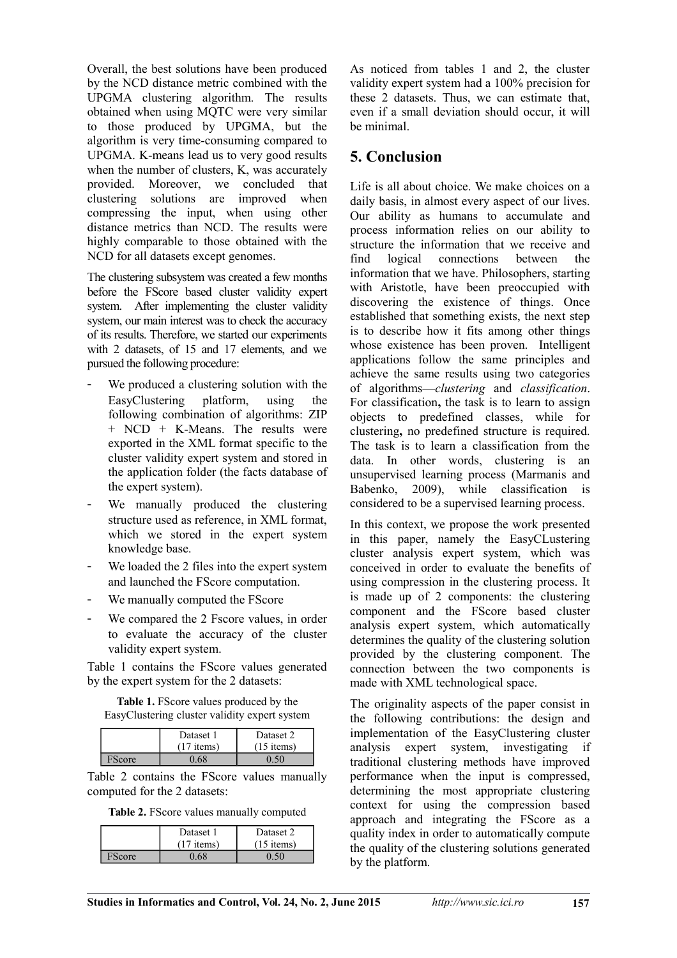Overall, the best solutions have been produced by the NCD distance metric combined with the UPGMA clustering algorithm. The results obtained when using MQTC were very similar to those produced by UPGMA, but the algorithm is very time-consuming compared to UPGMA. K-means lead us to very good results when the number of clusters, K, was accurately provided. Moreover, we concluded that clustering solutions are improved when compressing the input, when using other distance metrics than NCD. The results were highly comparable to those obtained with the NCD for all datasets except genomes.

The clustering subsystem was created a few months before the FScore based cluster validity expert system. After implementing the cluster validity system, our main interest was to check the accuracy of its results. Therefore, we started our experiments with 2 datasets, of 15 and 17 elements, and we pursued the following procedure:

- We produced a clustering solution with the EasyClustering platform, using the following combination of algorithms: ZIP + NCD + K-Means. The results were exported in the XML format specific to the cluster validity expert system and stored in the application folder (the facts database of the expert system).
- We manually produced the clustering structure used as reference, in XML format, which we stored in the expert system knowledge base.
- We loaded the 2 files into the expert system and launched the FScore computation.
- We manually computed the FScore
- We compared the 2 Fscore values, in order to evaluate the accuracy of the cluster validity expert system.

Table 1 contains the FScore values generated by the expert system for the 2 datasets:

**Table 1.** FScore values produced by the EasyClustering cluster validity expert system

|        | Dataset 1<br>$(17$ items) | Dataset 2<br>$(15$ items) |
|--------|---------------------------|---------------------------|
| Score: |                           |                           |

Table 2 contains the FScore values manually computed for the 2 datasets:

| Table 2. FScore values manually computed |
|------------------------------------------|
|------------------------------------------|

|       | Dataset 1<br>$(17$ items) | Dataset 2<br>$(15$ items) |
|-------|---------------------------|---------------------------|
| Score |                           |                           |

As noticed from tables 1 and 2, the cluster validity expert system had a 100% precision for these 2 datasets. Thus, we can estimate that, even if a small deviation should occur, it will be minimal.

## **5. Conclusion**

Life is all about choice. We make choices on a daily basis, in almost every aspect of our lives. Our ability as humans to accumulate and process information relies on our ability to structure the information that we receive and find logical connections between the information that we have. Philosophers, starting with Aristotle, have been preoccupied with discovering the existence of things. Once established that something exists, the next step is to describe how it fits among other things whose existence has been proven. Intelligent applications follow the same principles and achieve the same results using two categories of algorithms—*clustering* and *classification*. For classification**,** the task is to learn to assign objects to predefined classes, while for clustering**,** no predefined structure is required. The task is to learn a classification from the data. In other words, clustering is an unsupervised learning process (Marmanis and Babenko, 2009), while classification is considered to be a supervised learning process.

In this context, we propose the work presented in this paper, namely the EasyCLustering cluster analysis expert system, which was conceived in order to evaluate the benefits of using compression in the clustering process. It is made up of 2 components: the clustering component and the FScore based cluster analysis expert system, which automatically determines the quality of the clustering solution provided by the clustering component. The connection between the two components is made with XML technological space.

The originality aspects of the paper consist in the following contributions: the design and implementation of the EasyClustering cluster analysis expert system, investigating if traditional clustering methods have improved performance when the input is compressed, determining the most appropriate clustering context for using the compression based approach and integrating the FScore as a quality index in order to automatically compute the quality of the clustering solutions generated by the platform.